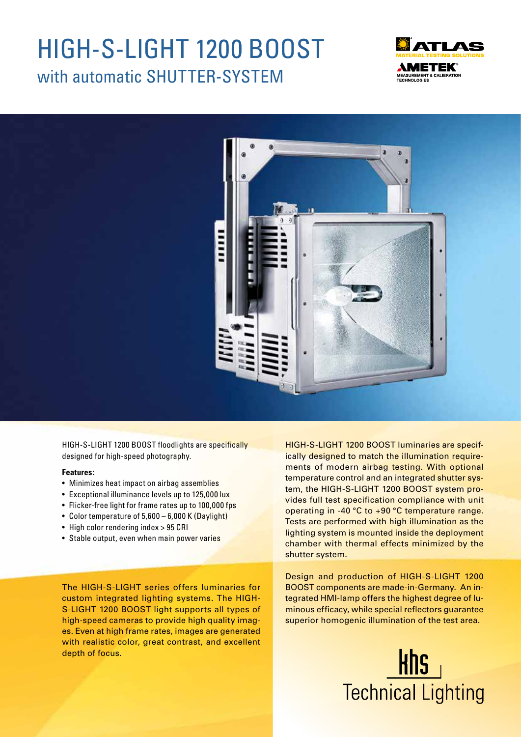# HIGH-S-LIGHT 1200 BOOST with automatic SHUTTER-SYSTEM





HIGH-S-LIGHT 1200 BOOST floodlights are specifically designed for high-speed photography.

#### **Features:**

- Minimizes heat impact on airbag assemblies
- Exceptional illuminance levels up to 125,000 lux
- Flicker-free light for frame rates up to 100,000 fps
- Color temperature of 5,600 6,000 K (Daylight)
- High color rendering index > 95 CRI
- Stable output, even when main power varies

The HIGH-S-LIGHT series offers luminaries for custom integrated lighting systems. The HIGH-S-LIGHT 1200 BOOST light supports all types of high-speed cameras to provide high quality images. Even at high frame rates, images are generated with realistic color, great contrast, and excellent depth of focus.

HIGH-S-LIGHT 1200 BOOST luminaries are specifically designed to match the illumination requirements of modern airbag testing. With optional temperature control and an integrated shutter system, the HIGH-S-LIGHT 1200 BOOST system provides full test specification compliance with unit operating in -40 °C to +90 °C temperature range. Tests are performed with high illumination as the lighting system is mounted inside the deployment chamber with thermal effects minimized by the shutter system.

Design and production of HIGH-S-LIGHT 1200 BOOST components are made-in-Germany. An integrated HMI-lamp offers the highest degree of luminous efficacy, while special reflectors guarantee superior homogenic illumination of the test area.